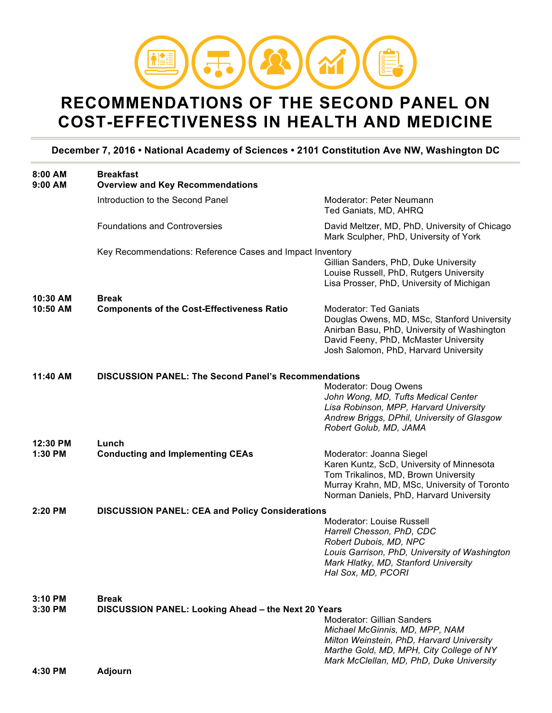

## **RECOMMENDATIONS OF THE SECOND PANEL ON COST-EFFECTIVENESS IN HEALTH AND MEDICINE**

## **December 7, 2016 • National Academy of Sciences • 2101 Constitution Ave NW, Washington DC**

| 8:00 AM<br>$9:00$ AM | <b>Breakfast</b><br><b>Overview and Key Recommendations</b>                                                                                                                                                                                                              |                                                                                                                                                                                                               |
|----------------------|--------------------------------------------------------------------------------------------------------------------------------------------------------------------------------------------------------------------------------------------------------------------------|---------------------------------------------------------------------------------------------------------------------------------------------------------------------------------------------------------------|
|                      | Introduction to the Second Panel                                                                                                                                                                                                                                         | Moderator: Peter Neumann<br>Ted Ganiats, MD, AHRQ                                                                                                                                                             |
|                      | <b>Foundations and Controversies</b>                                                                                                                                                                                                                                     | David Meltzer, MD, PhD, University of Chicago<br>Mark Sculpher, PhD, University of York                                                                                                                       |
|                      | Key Recommendations: Reference Cases and Impact Inventory                                                                                                                                                                                                                | Gillian Sanders, PhD, Duke University<br>Louise Russell, PhD, Rutgers University<br>Lisa Prosser, PhD, University of Michigan                                                                                 |
| 10:30 AM<br>10:50 AM | <b>Break</b><br><b>Components of the Cost-Effectiveness Ratio</b>                                                                                                                                                                                                        | <b>Moderator: Ted Ganiats</b><br>Douglas Owens, MD, MSc, Stanford University<br>Anirban Basu, PhD, University of Washington<br>David Feeny, PhD, McMaster University<br>Josh Salomon, PhD, Harvard University |
| 11:40 AM             | <b>DISCUSSION PANEL: The Second Panel's Recommendations</b>                                                                                                                                                                                                              | Moderator: Doug Owens<br>John Wong, MD, Tufts Medical Center<br>Lisa Robinson, MPP, Harvard University<br>Andrew Briggs, DPhil, University of Glasgow<br>Robert Golub, MD, JAMA                               |
| 12:30 PM<br>1:30 PM  | Lunch<br><b>Conducting and Implementing CEAs</b>                                                                                                                                                                                                                         | Moderator: Joanna Siegel<br>Karen Kuntz, ScD, University of Minnesota<br>Tom Trikalinos, MD, Brown University<br>Murray Krahn, MD, MSc, University of Toronto<br>Norman Daniels, PhD, Harvard University      |
| 2:20 PM              | <b>DISCUSSION PANEL: CEA and Policy Considerations</b>                                                                                                                                                                                                                   | <b>Moderator: Louise Russell</b><br>Harrell Chesson, PhD, CDC<br>Robert Dubois, MD, NPC<br>Louis Garrison, PhD, University of Washington<br>Mark Hlatky, MD, Stanford University<br>Hal Sox, MD, PCORI        |
| 3:10 PM<br>3:30 PM   | <b>Break</b><br>DISCUSSION PANEL: Looking Ahead - the Next 20 Years<br>Moderator: Gillian Sanders<br>Michael McGinnis, MD, MPP, NAM<br>Milton Weinstein, PhD, Harvard University<br>Marthe Gold, MD, MPH, City College of NY<br>Mark McClellan, MD, PhD, Duke University |                                                                                                                                                                                                               |
| 4:30 PM              | <b>Adjourn</b>                                                                                                                                                                                                                                                           |                                                                                                                                                                                                               |